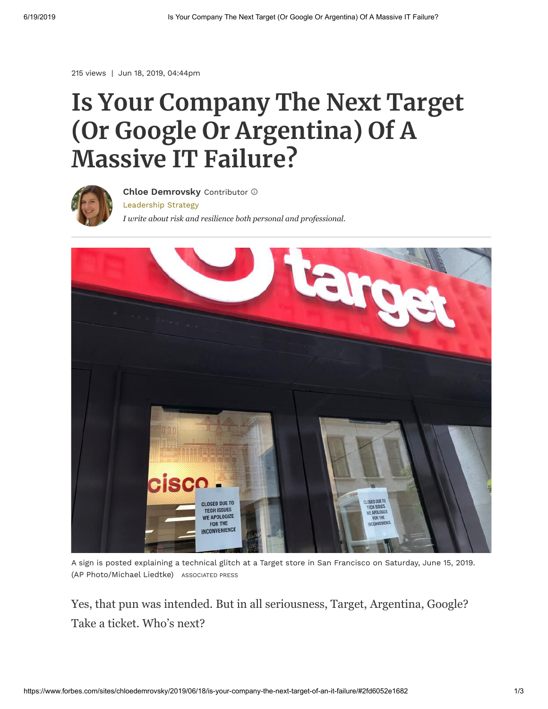215 views | Jun 18, 2019, 04:44pm

## **Is Your Company The Next Target (Or Google Or Argentina) Of A Massive IT Failure?**



[Leadership Strategy](https://www.forbes.com/leadership-strategy) *I write about risk and resilience both personal and professional.* **[Chloe Demrovsky](https://www.forbes.com/sites/chloedemrovsky/)** Contributor



(AP Photo/Michael Liedtke) Associated Press A sign is posted explaining a technical glitch at a Target store in San Francisco on Saturday, June 15, 2019.

Yes, that pun was intended. But in all seriousness, Target, Argentina, Google? Take a ticket. Who's next?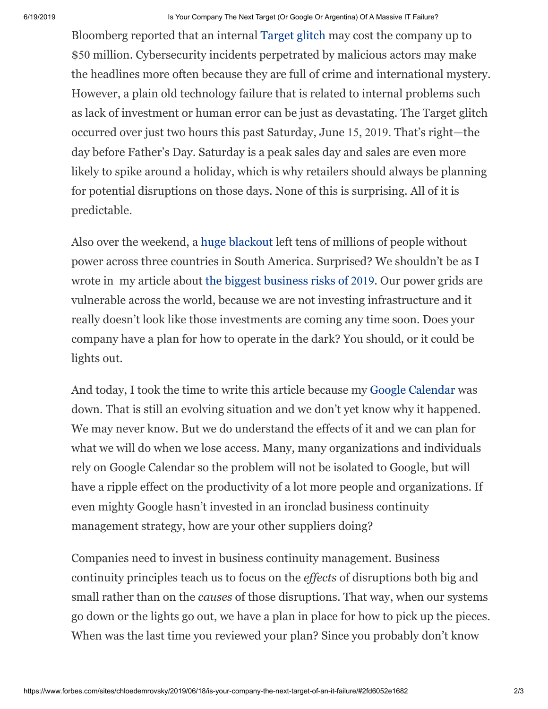Bloomberg reported that an internal [Target glitch](https://www.bloomberg.com/news/articles/2019-06-17/a-50-million-glitch-target-takes-a-hit-from-register-outage) may cost the company up to \$50 million. Cybersecurity incidents perpetrated by malicious actors may make the headlines more often because they are full of crime and international mystery. However, a plain old technology failure that is related to internal problems such as lack of investment or human error can be just as devastating. The Target glitch occurred over just two hours this past Saturday, June 15, 2019. That's right—the day before Father's Day. Saturday is a peak sales day and sales are even more likely to spike around a holiday, which is why retailers should always be planning for potential disruptions on those days. None of this is surprising. All of it is predictable.

Also over the weekend, a [huge blackout](https://www.apnews.com/60ecd65067ec43c28c29a412f452b488) left tens of millions of people without power across three countries in South America. Surprised? We shouldn't be as I wrote in my article about [the biggest business risks of](https://www.forbes.com/sites/chloedemrovsky/2019/01/14/dont-ignore-these-10-global-business-risks-in-2019/#31abadd814c0) 2019. Our power grids are vulnerable across the world, because we are not investing infrastructure and it really doesn't look like those investments are coming any time soon. Does your company have a plan for how to operate in the dark? You should, or it could be lights out.

And today, I took the time to write this article because my [Google Calendar](https://mashable.com/article/google-calendar-is-down/) was down. That is still an evolving situation and we don't yet know why it happened. We may never know. But we do understand the effects of it and we can plan for what we will do when we lose access. Many, many organizations and individuals rely on Google Calendar so the problem will not be isolated to Google, but will have a ripple effect on the productivity of a lot more people and organizations. If even mighty Google hasn't invested in an ironclad business continuity management strategy, how are your other suppliers doing?

Companies need to invest in business continuity management. Business continuity principles teach us to focus on the *effects* of disruptions both big and small rather than on the *causes* of those disruptions. That way, when our systems go down or the lights go out, we have a plan in place for how to pick up the pieces. When was the last time you reviewed your plan? Since you probably don't know